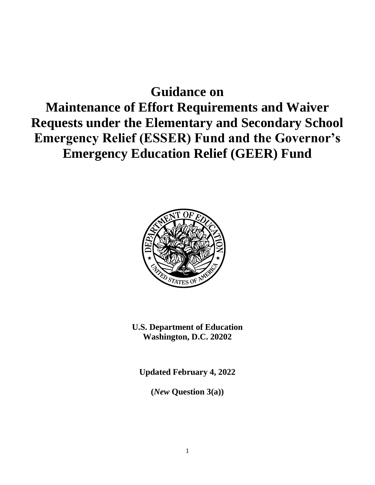# **Guidance on**

# **Maintenance of Effort Requirements and Waiver Requests under the Elementary and Secondary School Emergency Relief (ESSER) Fund and the Governor's Emergency Education Relief (GEER) Fund**



**U.S. Department of Education Washington, D.C. 20202**

**Updated February 4, 2022**

**(***New* **Question 3(a))**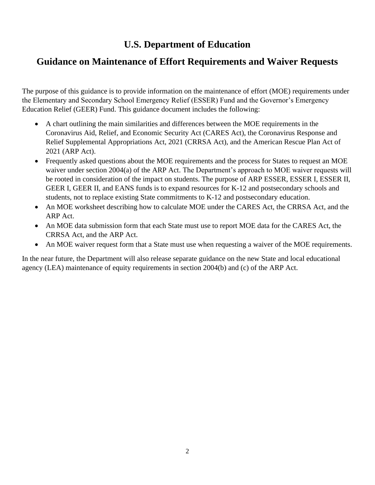## **U.S. Department of Education**

## **Guidance on Maintenance of Effort Requirements and Waiver Requests**

The purpose of this guidance is to provide information on the maintenance of effort (MOE) requirements under the Elementary and Secondary School Emergency Relief (ESSER) Fund and the Governor's Emergency Education Relief (GEER) Fund. This guidance document includes the following:

- A chart outlining the main similarities and differences between the MOE requirements in the Coronavirus Aid, Relief, and Economic Security Act (CARES Act), the Coronavirus Response and Relief Supplemental Appropriations Act, 2021 (CRRSA Act), and the American Rescue Plan Act of 2021 (ARP Act).
- Frequently asked questions about the MOE requirements and the process for States to request an MOE waiver under section 2004(a) of the ARP Act. The Department's approach to MOE waiver requests will be rooted in consideration of the impact on students. The purpose of ARP ESSER, ESSER I, ESSER II, GEER I, GEER II, and EANS funds is to expand resources for K-12 and postsecondary schools and students, not to replace existing State commitments to K-12 and postsecondary education.
- An MOE worksheet describing how to calculate MOE under the CARES Act, the CRRSA Act, and the ARP Act.
- An MOE data submission form that each State must use to report MOE data for the CARES Act, the CRRSA Act, and the ARP Act.
- An MOE waiver request form that a State must use when requesting a waiver of the MOE requirements.

In the near future, the Department will also release separate guidance on the new State and local educational agency (LEA) maintenance of equity requirements in section 2004(b) and (c) of the ARP Act.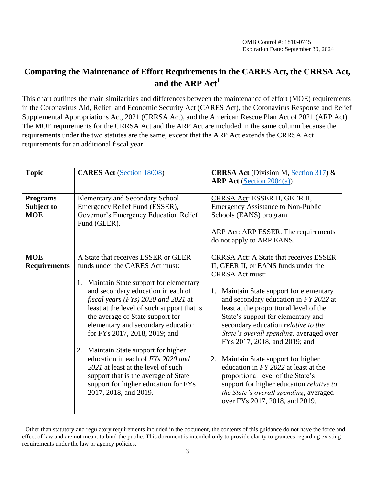## **Comparing the Maintenance of Effort Requirements in the CARES Act, the CRRSA Act, and the ARP Act<sup>1</sup>**

This chart outlines the main similarities and differences between the maintenance of effort (MOE) requirements in the Coronavirus Aid, Relief, and Economic Security Act (CARES Act), the Coronavirus Response and Relief Supplemental Appropriations Act, 2021 (CRRSA Act), and the American Rescue Plan Act of 2021 (ARP Act). The MOE requirements for the CRRSA Act and the ARP Act are included in the same column because the requirements under the two statutes are the same, except that the ARP Act extends the CRRSA Act requirements for an additional fiscal year.

| <b>Topic</b>                                | <b>CARES Act (Section 18008)</b>                                                                                                                                                                                                                                                                                                                                                                                                                                                                                                                                                     | <b>CRRSA Act</b> (Division M, Section 317) &<br><b>ARP</b> Act (Section 2004(a))                                                                                                                                                                                                                                                                                                                                                                                                                                                                                                                                                                           |  |
|---------------------------------------------|--------------------------------------------------------------------------------------------------------------------------------------------------------------------------------------------------------------------------------------------------------------------------------------------------------------------------------------------------------------------------------------------------------------------------------------------------------------------------------------------------------------------------------------------------------------------------------------|------------------------------------------------------------------------------------------------------------------------------------------------------------------------------------------------------------------------------------------------------------------------------------------------------------------------------------------------------------------------------------------------------------------------------------------------------------------------------------------------------------------------------------------------------------------------------------------------------------------------------------------------------------|--|
| <b>Programs</b><br>Subject to<br><b>MOE</b> | <b>Elementary and Secondary School</b><br>Emergency Relief Fund (ESSER),<br>Governor's Emergency Education Relief<br>Fund (GEER).                                                                                                                                                                                                                                                                                                                                                                                                                                                    | CRRSA Act: ESSER II, GEER II,<br><b>Emergency Assistance to Non-Public</b><br>Schools (EANS) program.<br><b>ARP Act: ARP ESSER. The requirements</b><br>do not apply to ARP EANS.                                                                                                                                                                                                                                                                                                                                                                                                                                                                          |  |
| <b>MOE</b><br><b>Requirements</b>           | A State that receives ESSER or GEER<br>funds under the CARES Act must:<br>1. Maintain State support for elementary<br>and secondary education in each of<br>fiscal years (FYs) 2020 and 2021 at<br>least at the level of such support that is<br>the average of State support for<br>elementary and secondary education<br>for FYs 2017, 2018, 2019; and<br>2. Maintain State support for higher<br>education in each of FYs 2020 and<br>2021 at least at the level of such<br>support that is the average of State<br>support for higher education for FYs<br>2017, 2018, and 2019. | <b>CRRSA Act: A State that receives ESSER</b><br>II, GEER II, or EANS funds under the<br><b>CRRSA</b> Act must:<br>Maintain State support for elementary<br>1.<br>and secondary education in FY 2022 at<br>least at the proportional level of the<br>State's support for elementary and<br>secondary education relative to the<br>State's overall spending, averaged over<br>FYs 2017, 2018, and 2019; and<br>Maintain State support for higher<br>2.<br>education in FY 2022 at least at the<br>proportional level of the State's<br>support for higher education relative to<br>the State's overall spending, averaged<br>over FYs 2017, 2018, and 2019. |  |

<sup>&</sup>lt;sup>1</sup> Other than statutory and regulatory requirements included in the document, the contents of this guidance do not have the force and effect of law and are not meant to bind the public. This document is intended only to provide clarity to grantees regarding existing requirements under the law or agency policies.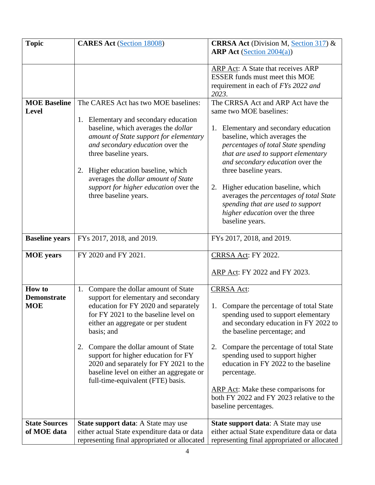| <b>Topic</b>                                      | <b>CARES Act (Section 18008)</b>                                                                                                                                                                                                                                                                                                                                                                                                   | <b>CRRSA Act</b> (Division M, Section 317) $\&$                                                                                                                                                                                                                                                                                                                                                                                                                      |  |
|---------------------------------------------------|------------------------------------------------------------------------------------------------------------------------------------------------------------------------------------------------------------------------------------------------------------------------------------------------------------------------------------------------------------------------------------------------------------------------------------|----------------------------------------------------------------------------------------------------------------------------------------------------------------------------------------------------------------------------------------------------------------------------------------------------------------------------------------------------------------------------------------------------------------------------------------------------------------------|--|
|                                                   |                                                                                                                                                                                                                                                                                                                                                                                                                                    | <b>ARP</b> Act (Section 2004(a))                                                                                                                                                                                                                                                                                                                                                                                                                                     |  |
|                                                   |                                                                                                                                                                                                                                                                                                                                                                                                                                    | ARP Act: A State that receives ARP<br>ESSER funds must meet this MOE<br>requirement in each of FYs 2022 and<br>2023.                                                                                                                                                                                                                                                                                                                                                 |  |
| <b>MOE Baseline</b><br><b>Level</b>               | The CARES Act has two MOE baselines:<br>1. Elementary and secondary education<br>baseline, which averages the <i>dollar</i><br>amount of State support for elementary<br>and secondary education over the<br>three baseline years.<br>2. Higher education baseline, which<br>averages the dollar amount of State<br>support for higher education over the<br>three baseline years.                                                 | The CRRSA Act and ARP Act have the<br>same two MOE baselines:<br>Elementary and secondary education<br>1.<br>baseline, which averages the<br>percentages of total State spending<br>that are used to support elementary<br>and secondary education over the<br>three baseline years.<br>Higher education baseline, which<br>2.<br>averages the percentages of total State<br>spending that are used to support<br>higher education over the three<br>baseline years. |  |
| <b>Baseline</b> years                             | FYs 2017, 2018, and 2019.                                                                                                                                                                                                                                                                                                                                                                                                          | FYs 2017, 2018, and 2019.                                                                                                                                                                                                                                                                                                                                                                                                                                            |  |
| <b>MOE</b> years                                  | FY 2020 and FY 2021.                                                                                                                                                                                                                                                                                                                                                                                                               | CRRSA Act: FY 2022.                                                                                                                                                                                                                                                                                                                                                                                                                                                  |  |
|                                                   |                                                                                                                                                                                                                                                                                                                                                                                                                                    | ARP Act: FY 2022 and FY 2023.                                                                                                                                                                                                                                                                                                                                                                                                                                        |  |
| <b>How to</b><br><b>Demonstrate</b><br><b>MOE</b> | Compare the dollar amount of State<br>1.<br>support for elementary and secondary<br>education for FY 2020 and separately<br>for FY 2021 to the baseline level on<br>either an aggregate or per student<br>basis; and<br>2.<br>Compare the dollar amount of State<br>support for higher education for FY<br>2020 and separately for FY 2021 to the<br>baseline level on either an aggregate or<br>full-time-equivalent (FTE) basis. | <b>CRRSA Act:</b><br>Compare the percentage of total State<br>1.<br>spending used to support elementary<br>and secondary education in FY 2022 to<br>the baseline percentage; and<br>2.<br>Compare the percentage of total State<br>spending used to support higher<br>education in FY 2022 to the baseline<br>percentage.<br><b>ARP</b> Act: Make these comparisons for<br>both FY 2022 and FY 2023 relative to the<br>baseline percentages.                         |  |
| <b>State Sources</b><br>of MOE data               | State support data: A State may use<br>either actual State expenditure data or data<br>representing final appropriated or allocated                                                                                                                                                                                                                                                                                                | State support data: A State may use<br>either actual State expenditure data or data<br>representing final appropriated or allocated                                                                                                                                                                                                                                                                                                                                  |  |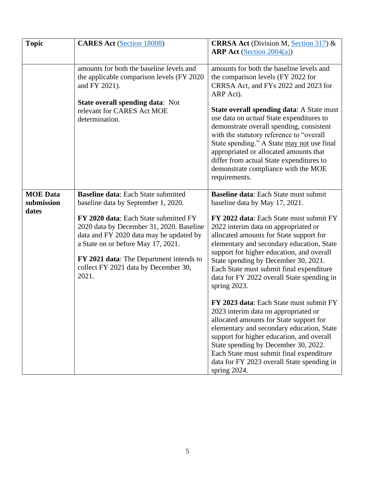| <b>Topic</b>                           | <b>CARES Act (Section 18008)</b>                                                                                                                                                                                                                                                                                                                    | <b>CRRSA Act</b> (Division M, Section 317) $\&$<br><b>ARP</b> Act (Section $2004(a)$ )                                                                                                                                                                                                                                                                                                                                                               |
|----------------------------------------|-----------------------------------------------------------------------------------------------------------------------------------------------------------------------------------------------------------------------------------------------------------------------------------------------------------------------------------------------------|------------------------------------------------------------------------------------------------------------------------------------------------------------------------------------------------------------------------------------------------------------------------------------------------------------------------------------------------------------------------------------------------------------------------------------------------------|
|                                        | amounts for both the baseline levels and<br>the applicable comparison levels (FY 2020<br>and FY 2021).                                                                                                                                                                                                                                              | amounts for both the baseline levels and<br>the comparison levels (FY 2022 for<br>CRRSA Act, and FYs 2022 and 2023 for<br>ARP Act).                                                                                                                                                                                                                                                                                                                  |
|                                        | <b>State overall spending data: Not</b><br>relevant for CARES Act MOE<br>determination.                                                                                                                                                                                                                                                             | <b>State overall spending data:</b> A State must<br>use data on <i>actual</i> State expenditures to<br>demonstrate overall spending, consistent<br>with the statutory reference to "overall<br>State spending." A State may not use final<br>appropriated or allocated amounts that<br>differ from actual State expenditures to<br>demonstrate compliance with the MOE<br>requirements.                                                              |
| <b>MOE</b> Data<br>submission<br>dates | <b>Baseline data: Each State submitted</b><br>baseline data by September 1, 2020.<br>FY 2020 data: Each State submitted FY<br>2020 data by December 31, 2020. Baseline<br>data and FY 2020 data may be updated by<br>a State on or before May 17, 2021.<br>FY 2021 data: The Department intends to<br>collect FY 2021 data by December 30,<br>2021. | Baseline data: Each State must submit<br>baseline data by May 17, 2021.<br>FY 2022 data: Each State must submit FY<br>2022 interim data on appropriated or<br>allocated amounts for State support for<br>elementary and secondary education, State<br>support for higher education, and overall<br>State spending by December 30, 2021.<br>Each State must submit final expenditure<br>data for FY 2022 overall State spending in<br>spring $2023$ . |
|                                        |                                                                                                                                                                                                                                                                                                                                                     | FY 2023 data: Each State must submit FY<br>2023 interim data on appropriated or<br>allocated amounts for State support for<br>elementary and secondary education, State<br>support for higher education, and overall<br>State spending by December 30, 2022.<br>Each State must submit final expenditure<br>data for FY 2023 overall State spending in<br>spring 2024.                                                                               |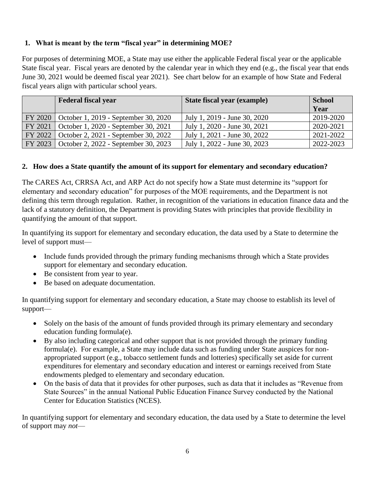### **1. What is meant by the term "fiscal year" in determining MOE?**

For purposes of determining MOE, a State may use either the applicable Federal fiscal year or the applicable State fiscal year. Fiscal years are denoted by the calendar year in which they end (e.g., the fiscal year that ends June 30, 2021 would be deemed fiscal year 2021). See chart below for an example of how State and Federal fiscal years align with particular school years.

| <b>Federal fiscal year</b>                     | State fiscal year (example)  | <b>School</b> |
|------------------------------------------------|------------------------------|---------------|
|                                                |                              | Year          |
| FY 2020   October 1, 2019 - September 30, 2020 | July 1, 2019 - June 30, 2020 | 2019-2020     |
| FY 2021   October 1, 2020 - September 30, 2021 | July 1, 2020 - June 30, 2021 | 2020-2021     |
| FY 2022   October 2, 2021 - September 30, 2022 | July 1, 2021 - June 30, 2022 | 2021-2022     |
| FY 2023   October 2, 2022 - September 30, 2023 | July 1, 2022 - June 30, 2023 | 2022-2023     |

#### **2. How does a State quantify the amount of its support for elementary and secondary education?**

The CARES Act, CRRSA Act, and ARP Act do not specify how a State must determine its "support for elementary and secondary education" for purposes of the MOE requirements, and the Department is not defining this term through regulation. Rather, in recognition of the variations in education finance data and the lack of a statutory definition, the Department is providing States with principles that provide flexibility in quantifying the amount of that support.

In quantifying its support for elementary and secondary education, the data used by a State to determine the level of support must—

- Include funds provided through the primary funding mechanisms through which a State provides support for elementary and secondary education.
- Be consistent from year to year.
- Be based on adequate documentation.

In quantifying support for elementary and secondary education, a State may choose to establish its level of support—

- Solely on the basis of the amount of funds provided through its primary elementary and secondary education funding formula(e).
- By also including categorical and other support that is not provided through the primary funding formula(e). For example, a State may include data such as funding under State auspices for nonappropriated support (e.g., tobacco settlement funds and lotteries) specifically set aside for current expenditures for elementary and secondary education and interest or earnings received from State endowments pledged to elementary and secondary education.
- On the basis of data that it provides for other purposes, such as data that it includes as "Revenue from State Sources" in the annual National Public Education Finance Survey conducted by the National Center for Education Statistics (NCES).

In quantifying support for elementary and secondary education, the data used by a State to determine the level of support may *not*—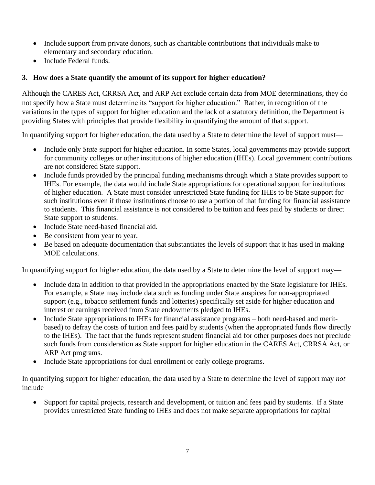- Include support from private donors, such as charitable contributions that individuals make to elementary and secondary education.
- Include Federal funds.

## **3. How does a State quantify the amount of its support for higher education?**

Although the CARES Act, CRRSA Act, and ARP Act exclude certain data from MOE determinations, they do not specify how a State must determine its "support for higher education." Rather, in recognition of the variations in the types of support for higher education and the lack of a statutory definition, the Department is providing States with principles that provide flexibility in quantifying the amount of that support.

In quantifying support for higher education, the data used by a State to determine the level of support must—

- Include only *State* support for higher education. In some States, local governments may provide support for community colleges or other institutions of higher education (IHEs). Local government contributions are not considered State support.
- Include funds provided by the principal funding mechanisms through which a State provides support to IHEs. For example, the data would include State appropriations for operational support for institutions of higher education. A State must consider unrestricted State funding for IHEs to be State support for such institutions even if those institutions choose to use a portion of that funding for financial assistance to students. This financial assistance is not considered to be tuition and fees paid by students or direct State support to students.
- Include State need-based financial aid.
- Be consistent from year to year.
- Be based on adequate documentation that substantiates the levels of support that it has used in making MOE calculations.

In quantifying support for higher education, the data used by a State to determine the level of support may—

- Include data in addition to that provided in the appropriations enacted by the State legislature for IHEs. For example, a State may include data such as funding under State auspices for non-appropriated support (e.g., tobacco settlement funds and lotteries) specifically set aside for higher education and interest or earnings received from State endowments pledged to IHEs.
- Include State appropriations to IHEs for financial assistance programs both need-based and meritbased) to defray the costs of tuition and fees paid by students (when the appropriated funds flow directly to the IHEs). The fact that the funds represent student financial aid for other purposes does not preclude such funds from consideration as State support for higher education in the CARES Act, CRRSA Act, or ARP Act programs.
- Include State appropriations for dual enrollment or early college programs.

In quantifying support for higher education, the data used by a State to determine the level of support may *not*  include—

• Support for capital projects, research and development, or tuition and fees paid by students. If a State provides unrestricted State funding to IHEs and does not make separate appropriations for capital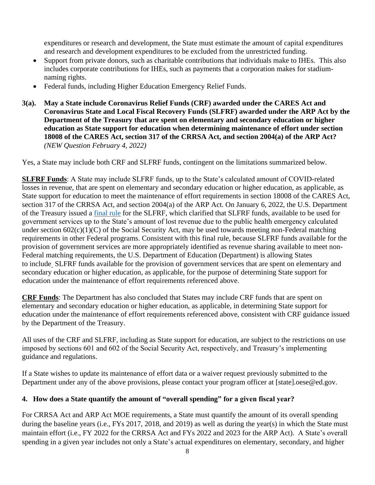expenditures or research and development, the State must estimate the amount of capital expenditures and research and development expenditures to be excluded from the unrestricted funding.

- Support from private donors, such as charitable contributions that individuals make to IHEs. This also includes corporate contributions for IHEs, such as payments that a corporation makes for stadiumnaming rights.
- Federal funds, including Higher Education Emergency Relief Funds.
- **3(a). May a State include Coronavirus Relief Funds (CRF) awarded under the CARES Act and Coronavirus State and Local Fiscal Recovery Funds (SLFRF) awarded under the ARP Act by the Department of the Treasury that are spent on elementary and secondary education or higher education as State support for education when determining maintenance of effort under section 18008 of the CARES Act, section 317 of the CRRSA Act, and section 2004(a) of the ARP Act?** *(NEW Question February 4, 2022)*

Yes, a State may include both CRF and SLFRF funds, contingent on the limitations summarized below.

**SLFRF Funds**: A State may include SLFRF funds, up to the State's calculated amount of COVID-related losses in revenue, that are spent on elementary and secondary education or higher education, as applicable, as State support for education to meet the maintenance of effort requirements in section 18008 of the CARES Act, section 317 of the CRRSA Act, and section 2004(a) of the ARP Act. On January 6, 2022, the U.S. Department of the Treasury issued a [final rule](https://home.treasury.gov/system/files/136/SLFRF-Final-Rule.pdf) for the SLFRF, which clarified that SLFRF funds, available to be used for government services up to the State's amount of lost revenue due to the public health emergency calculated under section  $602(c)(1)(C)$  of the Social Security Act, may be used towards meeting non-Federal matching requirements in other Federal programs. Consistent with this final rule, because SLFRF funds available for the provision of government services are more appropriately identified as revenue sharing available to meet non-Federal matching requirements, the U.S. Department of Education (Department) is allowing States to include SLFRF funds available for the provision of government services that are spent on elementary and secondary education or higher education, as applicable, for the purpose of determining State support for education under the maintenance of effort requirements referenced above.

**CRF Funds**: The Department has also concluded that States may include CRF funds that are spent on elementary and secondary education or higher education, as applicable, in determining State support for education under the maintenance of effort requirements referenced above, consistent with CRF guidance issued by the Department of the Treasury.

All uses of the CRF and SLFRF, including as State support for education, are subject to the restrictions on use imposed by sections 601 and 602 of the Social Security Act, respectively, and Treasury's implementing guidance and regulations.

If a State wishes to update its maintenance of effort data or a waiver request previously submitted to the Department under any of the above provisions, please contact your program officer at [state].oese@ed.gov.

## **4. How does a State quantify the amount of "overall spending" for a given fiscal year?**

For CRRSA Act and ARP Act MOE requirements, a State must quantify the amount of its overall spending during the baseline years (i.e., FYs 2017, 2018, and 2019) as well as during the year(s) in which the State must maintain effort (i.e., FY 2022 for the CRRSA Act and FYs 2022 and 2023 for the ARP Act). A State's overall spending in a given year includes not only a State's actual expenditures on elementary, secondary, and higher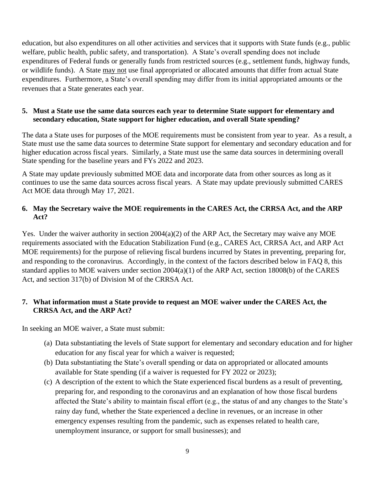education, but also expenditures on all other activities and services that it supports with State funds (e.g., public welfare, public health, public safety, and transportation). A State's overall spending does not include expenditures of Federal funds or generally funds from restricted sources (e.g., settlement funds, highway funds, or wildlife funds). A State may not use final appropriated or allocated amounts that differ from actual State expenditures. Furthermore, a State's overall spending may differ from its initial appropriated amounts or the revenues that a State generates each year.

#### **5. Must a State use the same data sources each year to determine State support for elementary and secondary education, State support for higher education, and overall State spending?**

The data a State uses for purposes of the MOE requirements must be consistent from year to year. As a result, a State must use the same data sources to determine State support for elementary and secondary education and for higher education across fiscal years. Similarly, a State must use the same data sources in determining overall State spending for the baseline years and FYs 2022 and 2023.

A State may update previously submitted MOE data and incorporate data from other sources as long as it continues to use the same data sources across fiscal years. A State may update previously submitted CARES Act MOE data through May 17, 2021.

#### **6. May the Secretary waive the MOE requirements in the CARES Act, the CRRSA Act, and the ARP Act?**

Yes. Under the waiver authority in section 2004(a)(2) of the ARP Act, the Secretary may waive any MOE requirements associated with the Education Stabilization Fund (e.g., CARES Act, CRRSA Act, and ARP Act MOE requirements) for the purpose of relieving fiscal burdens incurred by States in preventing, preparing for, and responding to the coronavirus. Accordingly, in the context of the factors described below in FAQ 8, this standard applies to MOE waivers under section 2004(a)(1) of the ARP Act, section 18008(b) of the CARES Act, and section 317(b) of Division M of the CRRSA Act.

### **7. What information must a State provide to request an MOE waiver under the CARES Act, the CRRSA Act, and the ARP Act?**

In seeking an MOE waiver, a State must submit:

- (a) Data substantiating the levels of State support for elementary and secondary education and for higher education for any fiscal year for which a waiver is requested;
- (b) Data substantiating the State's overall spending or data on appropriated or allocated amounts available for State spending (if a waiver is requested for FY 2022 or 2023);
- (c) A description of the extent to which the State experienced fiscal burdens as a result of preventing, preparing for, and responding to the coronavirus and an explanation of how those fiscal burdens affected the State's ability to maintain fiscal effort (e.g., the status of and any changes to the State's rainy day fund, whether the State experienced a decline in revenues, or an increase in other emergency expenses resulting from the pandemic, such as expenses related to health care, unemployment insurance, or support for small businesses); and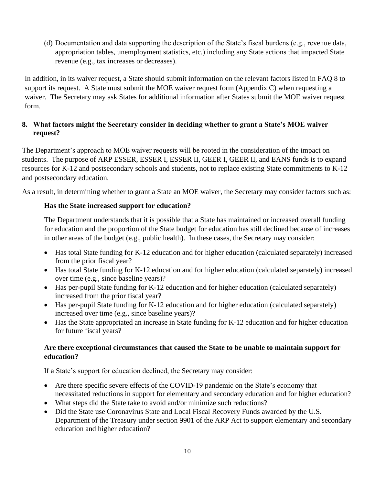(d) Documentation and data supporting the description of the State's fiscal burdens (e.g., revenue data, appropriation tables, unemployment statistics, etc.) including any State actions that impacted State revenue (e.g., tax increases or decreases).

In addition, in its waiver request, a State should submit information on the relevant factors listed in FAQ 8 to support its request. A State must submit the MOE waiver request form (Appendix C) when requesting a waiver. The Secretary may ask States for additional information after States submit the MOE waiver request form.

### **8. What factors might the Secretary consider in deciding whether to grant a State's MOE waiver request?**

The Department's approach to MOE waiver requests will be rooted in the consideration of the impact on students. The purpose of ARP ESSER, ESSER I, ESSER II, GEER I, GEER II, and EANS funds is to expand resources for K-12 and postsecondary schools and students, not to replace existing State commitments to K-12 and postsecondary education.

As a result, in determining whether to grant a State an MOE waiver, the Secretary may consider factors such as:

## **Has the State increased support for education?**

The Department understands that it is possible that a State has maintained or increased overall funding for education and the proportion of the State budget for education has still declined because of increases in other areas of the budget (e.g., public health). In these cases, the Secretary may consider:

- Has total State funding for K-12 education and for higher education (calculated separately) increased from the prior fiscal year?
- Has total State funding for K-12 education and for higher education (calculated separately) increased over time (e.g., since baseline years)?
- Has per-pupil State funding for K-12 education and for higher education (calculated separately) increased from the prior fiscal year?
- Has per-pupil State funding for K-12 education and for higher education (calculated separately) increased over time (e.g., since baseline years)?
- Has the State appropriated an increase in State funding for K-12 education and for higher education for future fiscal years?

### **Are there exceptional circumstances that caused the State to be unable to maintain support for education?**

If a State's support for education declined, the Secretary may consider:

- Are there specific severe effects of the COVID-19 pandemic on the State's economy that necessitated reductions in support for elementary and secondary education and for higher education?
- What steps did the State take to avoid and/or minimize such reductions?
- Did the State use Coronavirus State and Local Fiscal Recovery Funds awarded by the U.S. Department of the Treasury under section 9901 of the ARP Act to support elementary and secondary education and higher education?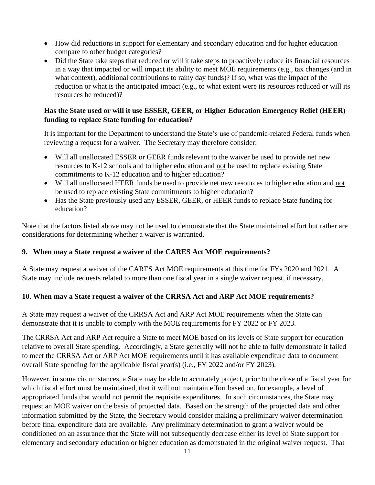- How did reductions in support for elementary and secondary education and for higher education compare to other budget categories?
- Did the State take steps that reduced or will it take steps to proactively reduce its financial resources in a way that impacted or will impact its ability to meet MOE requirements (e.g., tax changes (and in what context), additional contributions to rainy day funds)? If so, what was the impact of the reduction or what is the anticipated impact (e.g., to what extent were its resources reduced or will its resources be reduced)?

### **Has the State used or will it use ESSER, GEER, or Higher Education Emergency Relief (HEER) funding to replace State funding for education?**

It is important for the Department to understand the State's use of pandemic-related Federal funds when reviewing a request for a waiver. The Secretary may therefore consider:

- Will all unallocated ESSER or GEER funds relevant to the waiver be used to provide net new resources to K-12 schools and to higher education and not be used to replace existing State commitments to K-12 education and to higher education?
- Will all unallocated HEER funds be used to provide net new resources to higher education and not be used to replace existing State commitments to higher education?
- Has the State previously used any ESSER, GEER, or HEER funds to replace State funding for education?

Note that the factors listed above may not be used to demonstrate that the State maintained effort but rather are considerations for determining whether a waiver is warranted.

## **9. When may a State request a waiver of the CARES Act MOE requirements?**

A State may request a waiver of the CARES Act MOE requirements at this time for FYs 2020 and 2021. A State may include requests related to more than one fiscal year in a single waiver request, if necessary.

## **10. When may a State request a waiver of the CRRSA Act and ARP Act MOE requirements?**

A State may request a waiver of the CRRSA Act and ARP Act MOE requirements when the State can demonstrate that it is unable to comply with the MOE requirements for FY 2022 or FY 2023.

The CRRSA Act and ARP Act require a State to meet MOE based on its levels of State support for education relative to overall State spending. Accordingly, a State generally will not be able to fully demonstrate it failed to meet the CRRSA Act or ARP Act MOE requirements until it has available expenditure data to document overall State spending for the applicable fiscal year(s) (i.e., FY 2022 and/or FY 2023).

However, in some circumstances, a State may be able to accurately project, prior to the close of a fiscal year for which fiscal effort must be maintained, that it will not maintain effort based on, for example, a level of appropriated funds that would not permit the requisite expenditures. In such circumstances, the State may request an MOE waiver on the basis of projected data. Based on the strength of the projected data and other information submitted by the State, the Secretary would consider making a preliminary waiver determination before final expenditure data are available. Any preliminary determination to grant a waiver would be conditioned on an assurance that the State will not subsequently decrease either its level of State support for elementary and secondary education or higher education as demonstrated in the original waiver request. That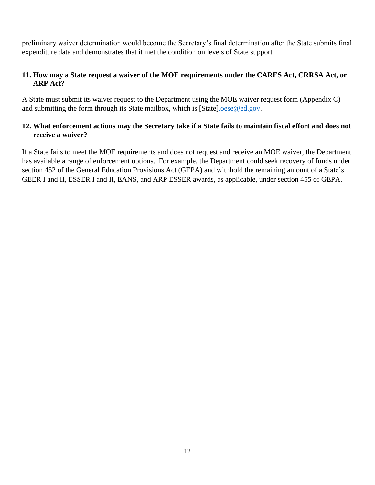preliminary waiver determination would become the Secretary's final determination after the State submits final expenditure data and demonstrates that it met the condition on levels of State support.

### **11. How may a State request a waiver of the MOE requirements under the CARES Act, CRRSA Act, or ARP Act?**

A State must submit its waiver request to the Department using the MOE waiver request form (Appendix C) and submitting the form through its State mailbox, which is [State[\].oese@ed.gov.](mailto:.oese@ed.gov)

### **12. What enforcement actions may the Secretary take if a State fails to maintain fiscal effort and does not receive a waiver?**

If a State fails to meet the MOE requirements and does not request and receive an MOE waiver, the Department has available a range of enforcement options. For example, the Department could seek recovery of funds under section 452 of the General Education Provisions Act (GEPA) and withhold the remaining amount of a State's GEER I and II, ESSER I and II, EANS, and ARP ESSER awards, as applicable, under section 455 of GEPA.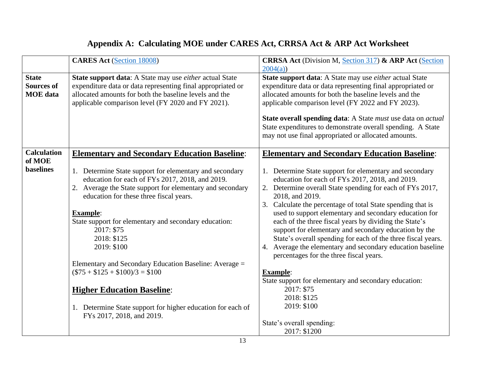## **Appendix A: Calculating MOE under CARES Act, CRRSA Act & ARP Act Worksheet**

|                                                      | <b>CARES Act (Section 18008)</b>                                                                                                                                                                                                                                                                                                                                                                                                                                                                                                                                        | <b>CRRSA Act</b> (Division M, Section 317) & ARP Act (Section<br>2004(a)                                                                                                                                                                                                                                                                                                                                                                                                                                                                                                                                                                                                                                                                                                             |
|------------------------------------------------------|-------------------------------------------------------------------------------------------------------------------------------------------------------------------------------------------------------------------------------------------------------------------------------------------------------------------------------------------------------------------------------------------------------------------------------------------------------------------------------------------------------------------------------------------------------------------------|--------------------------------------------------------------------------------------------------------------------------------------------------------------------------------------------------------------------------------------------------------------------------------------------------------------------------------------------------------------------------------------------------------------------------------------------------------------------------------------------------------------------------------------------------------------------------------------------------------------------------------------------------------------------------------------------------------------------------------------------------------------------------------------|
| <b>State</b><br><b>Sources of</b><br><b>MOE</b> data | State support data: A State may use <i>either</i> actual State<br>expenditure data or data representing final appropriated or<br>allocated amounts for both the baseline levels and the<br>applicable comparison level (FY 2020 and FY 2021).                                                                                                                                                                                                                                                                                                                           | State support data: A State may use either actual State<br>expenditure data or data representing final appropriated or<br>allocated amounts for both the baseline levels and the<br>applicable comparison level (FY 2022 and FY 2023).<br><b>State overall spending data:</b> A State <i>must</i> use data on <i>actual</i><br>State expenditures to demonstrate overall spending. A State<br>may not use final appropriated or allocated amounts.                                                                                                                                                                                                                                                                                                                                   |
| <b>Calculation</b><br>of MOE                         | <b>Elementary and Secondary Education Baseline:</b>                                                                                                                                                                                                                                                                                                                                                                                                                                                                                                                     | <b>Elementary and Secondary Education Baseline:</b>                                                                                                                                                                                                                                                                                                                                                                                                                                                                                                                                                                                                                                                                                                                                  |
| <b>baselines</b>                                     | 1. Determine State support for elementary and secondary<br>education for each of FYs 2017, 2018, and 2019.<br>2. Average the State support for elementary and secondary<br>education for these three fiscal years.<br><b>Example:</b><br>State support for elementary and secondary education:<br>2017: \$75<br>2018: \$125<br>2019: \$100<br>Elementary and Secondary Education Baseline: Average =<br>$($75 + $125 + $100)/3 = $100$<br><b>Higher Education Baseline:</b><br>1. Determine State support for higher education for each of<br>FYs 2017, 2018, and 2019. | 1. Determine State support for elementary and secondary<br>education for each of FYs 2017, 2018, and 2019.<br>2. Determine overall State spending for each of FYs 2017,<br>2018, and 2019.<br>3. Calculate the percentage of total State spending that is<br>used to support elementary and secondary education for<br>each of the three fiscal years by dividing the State's<br>support for elementary and secondary education by the<br>State's overall spending for each of the three fiscal years.<br>4. Average the elementary and secondary education baseline<br>percentages for the three fiscal years.<br><b>Example:</b><br>State support for elementary and secondary education:<br>2017: \$75<br>2018: \$125<br>2019: \$100<br>State's overall spending:<br>2017: \$1200 |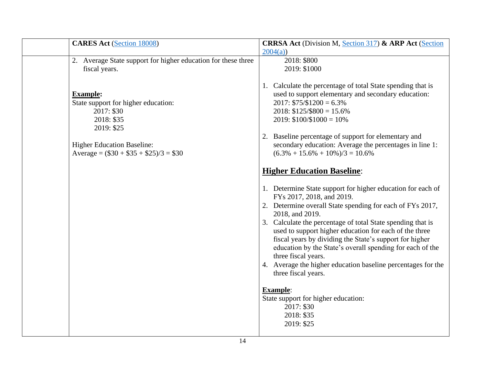| <b>CARES Act (Section 18008)</b>                                                                                                                                                   | <b>CRRSA Act</b> (Division M, Section 317) & ARP Act (Section                                                                                                                                                                                                                                                                                                                                                                                                                                                                                                              |
|------------------------------------------------------------------------------------------------------------------------------------------------------------------------------------|----------------------------------------------------------------------------------------------------------------------------------------------------------------------------------------------------------------------------------------------------------------------------------------------------------------------------------------------------------------------------------------------------------------------------------------------------------------------------------------------------------------------------------------------------------------------------|
|                                                                                                                                                                                    | 2004(a)                                                                                                                                                                                                                                                                                                                                                                                                                                                                                                                                                                    |
| 2. Average State support for higher education for these three                                                                                                                      | 2018: \$800                                                                                                                                                                                                                                                                                                                                                                                                                                                                                                                                                                |
| fiscal years.                                                                                                                                                                      | 2019: \$1000                                                                                                                                                                                                                                                                                                                                                                                                                                                                                                                                                               |
| <b>Example:</b><br>State support for higher education:<br>2017: \$30<br>2018: \$35<br>2019: \$25<br><b>Higher Education Baseline:</b><br>Average = $(\$30 + \$35 + \$25)/3 = \$30$ | 1. Calculate the percentage of total State spending that is<br>used to support elementary and secondary education:<br>$2017: $75/$1200 = 6.3\%$<br>$2018: $125/\$800 = 15.6\%$<br>$2019: $100 \times 1000 = 10\%$<br>2. Baseline percentage of support for elementary and<br>secondary education: Average the percentages in line 1:<br>$(6.3\% + 15.6\% + 10\%)/3 = 10.6\%$<br><b>Higher Education Baseline:</b><br>1. Determine State support for higher education for each of<br>FYs 2017, 2018, and 2019.<br>2. Determine overall State spending for each of FYs 2017, |
|                                                                                                                                                                                    | 2018, and 2019.<br>3. Calculate the percentage of total State spending that is<br>used to support higher education for each of the three<br>fiscal years by dividing the State's support for higher<br>education by the State's overall spending for each of the<br>three fiscal years.<br>4. Average the higher education baseline percentages for the<br>three fiscal years.<br><b>Example:</b><br>State support for higher education:<br>2017: \$30<br>2018: \$35<br>2019: \$25                                                                                         |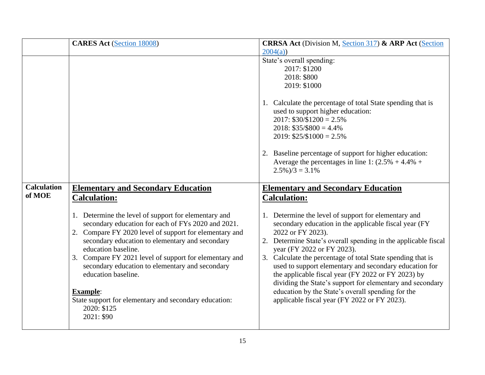|                              | <b>CARES Act (Section 18008)</b>                                                                                                                                                                                                                                                                                                                                                                                                                                                            | <b>CRRSA Act</b> (Division M, Section 317) & ARP Act (Section<br>2004(a)                                                                                                                                                                                                                                                                                                                                                                                                                                                                                                            |
|------------------------------|---------------------------------------------------------------------------------------------------------------------------------------------------------------------------------------------------------------------------------------------------------------------------------------------------------------------------------------------------------------------------------------------------------------------------------------------------------------------------------------------|-------------------------------------------------------------------------------------------------------------------------------------------------------------------------------------------------------------------------------------------------------------------------------------------------------------------------------------------------------------------------------------------------------------------------------------------------------------------------------------------------------------------------------------------------------------------------------------|
|                              |                                                                                                                                                                                                                                                                                                                                                                                                                                                                                             | State's overall spending:<br>2017: \$1200<br>2018: \$800<br>2019: \$1000                                                                                                                                                                                                                                                                                                                                                                                                                                                                                                            |
|                              |                                                                                                                                                                                                                                                                                                                                                                                                                                                                                             | 1. Calculate the percentage of total State spending that is<br>used to support higher education:<br>$2017: $30/$1200 = 2.5\%$<br>$2018: $35/\$800 = 4.4\%$<br>$2019: $25/\$1000 = 2.5\%$                                                                                                                                                                                                                                                                                                                                                                                            |
|                              |                                                                                                                                                                                                                                                                                                                                                                                                                                                                                             | 2. Baseline percentage of support for higher education:<br>Average the percentages in line 1: $(2.5\% + 4.4\% +$<br>$2.5\%$ )/3 = 3.1%                                                                                                                                                                                                                                                                                                                                                                                                                                              |
| <b>Calculation</b><br>of MOE | <b>Elementary and Secondary Education</b><br><b>Calculation:</b>                                                                                                                                                                                                                                                                                                                                                                                                                            | <b>Elementary and Secondary Education</b><br><b>Calculation:</b>                                                                                                                                                                                                                                                                                                                                                                                                                                                                                                                    |
|                              | 1. Determine the level of support for elementary and<br>secondary education for each of FYs 2020 and 2021.<br>2. Compare FY 2020 level of support for elementary and<br>secondary education to elementary and secondary<br>education baseline.<br>3. Compare FY 2021 level of support for elementary and<br>secondary education to elementary and secondary<br>education baseline.<br><b>Example:</b><br>State support for elementary and secondary education:<br>2020: \$125<br>2021: \$90 | 1. Determine the level of support for elementary and<br>secondary education in the applicable fiscal year (FY<br>2022 or FY 2023).<br>2. Determine State's overall spending in the applicable fiscal<br>year (FY 2022 or FY 2023).<br>3. Calculate the percentage of total State spending that is<br>used to support elementary and secondary education for<br>the applicable fiscal year (FY 2022 or FY 2023) by<br>dividing the State's support for elementary and secondary<br>education by the State's overall spending for the<br>applicable fiscal year (FY 2022 or FY 2023). |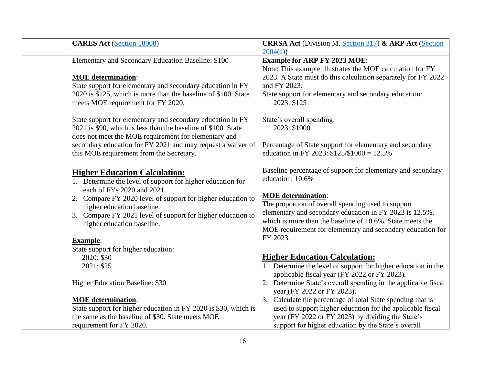| 2004(a)<br>Elementary and Secondary Education Baseline: \$100<br><b>Example for ARP FY 2023 MOE:</b><br>Note: This example illustrates the MOE calculation for FY<br>2023. A State must do this calculation separately for FY 2022<br><b>MOE</b> determination:<br>State support for elementary and secondary education in FY<br>and FY 2023.<br>2020 is \$125, which is more than the baseline of \$100. State<br>State support for elementary and secondary education:<br>2023: \$125<br>meets MOE requirement for FY 2020.<br>State support for elementary and secondary education in FY<br>State's overall spending: |  |
|--------------------------------------------------------------------------------------------------------------------------------------------------------------------------------------------------------------------------------------------------------------------------------------------------------------------------------------------------------------------------------------------------------------------------------------------------------------------------------------------------------------------------------------------------------------------------------------------------------------------------|--|
|                                                                                                                                                                                                                                                                                                                                                                                                                                                                                                                                                                                                                          |  |
|                                                                                                                                                                                                                                                                                                                                                                                                                                                                                                                                                                                                                          |  |
|                                                                                                                                                                                                                                                                                                                                                                                                                                                                                                                                                                                                                          |  |
| 2021 is \$90, which is less than the baseline of \$100. State<br>2023: \$1000<br>does not meet the MOE requirement for elementary and                                                                                                                                                                                                                                                                                                                                                                                                                                                                                    |  |
| secondary education for FY 2021 and may request a waiver of<br>Percentage of State support for elementary and secondary<br>education in FY 2023: $$125/\$1000 = 12.5\%$<br>this MOE requirement from the Secretary.                                                                                                                                                                                                                                                                                                                                                                                                      |  |
| Baseline percentage of support for elementary and secondary<br><b>Higher Education Calculation:</b><br>education: 10.6%<br>1. Determine the level of support for higher education for                                                                                                                                                                                                                                                                                                                                                                                                                                    |  |
| each of FYs 2020 and 2021.<br><b>MOE</b> determination:<br>2. Compare FY 2020 level of support for higher education to<br>The proportion of overall spending used to support<br>higher education baseline.<br>elementary and secondary education in FY 2023 is 12.5%,<br>3. Compare FY 2021 level of support for higher education to<br>which is more than the baseline of 10.6%. State meets the<br>higher education baseline.<br>MOE requirement for elementary and secondary education for                                                                                                                            |  |
| FY 2023.<br><b>Example:</b><br>State support for higher education:                                                                                                                                                                                                                                                                                                                                                                                                                                                                                                                                                       |  |
| <b>Higher Education Calculation:</b><br>2020: \$30<br>1. Determine the level of support for higher education in the<br>2021: \$25<br>applicable fiscal year (FY 2022 or FY 2023).                                                                                                                                                                                                                                                                                                                                                                                                                                        |  |
| 2. Determine State's overall spending in the applicable fiscal<br>Higher Education Baseline: \$30<br>year (FY 2022 or FY 2023).                                                                                                                                                                                                                                                                                                                                                                                                                                                                                          |  |
| 3. Calculate the percentage of total State spending that is<br><b>MOE</b> determination:<br>State support for higher education in FY 2020 is \$30, which is<br>used to support higher education for the applicable fiscal<br>year (FY 2022 or FY 2023) by dividing the State's<br>the same as the baseline of \$30. State meets MOE<br>requirement for FY 2020.<br>support for higher education by the State's overall                                                                                                                                                                                                   |  |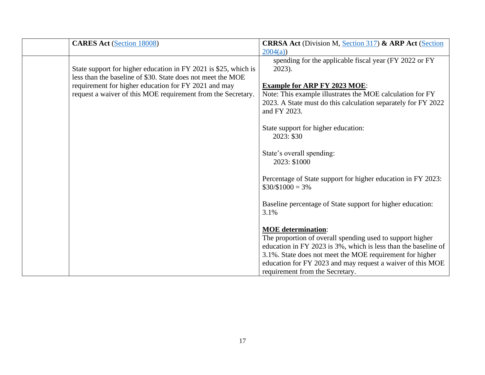| <b>CARES Act (Section 18008)</b>                                                                                               | <b>CRRSA Act (Division M, Section 317) &amp; ARP Act (Section</b>                                                      |
|--------------------------------------------------------------------------------------------------------------------------------|------------------------------------------------------------------------------------------------------------------------|
|                                                                                                                                | 2004(a)                                                                                                                |
| State support for higher education in FY 2021 is \$25, which is<br>less than the baseline of \$30. State does not meet the MOE | spending for the applicable fiscal year (FY 2022 or FY<br>2023).                                                       |
| requirement for higher education for FY 2021 and may<br>request a waiver of this MOE requirement from the Secretary.           | <b>Example for ARP FY 2023 MOE:</b><br>Note: This example illustrates the MOE calculation for FY                       |
|                                                                                                                                | 2023. A State must do this calculation separately for FY 2022<br>and FY 2023.                                          |
|                                                                                                                                | State support for higher education:<br>2023: \$30                                                                      |
|                                                                                                                                | State's overall spending:<br>2023: \$1000                                                                              |
|                                                                                                                                | Percentage of State support for higher education in FY 2023:<br>$$30/\$1000 = 3\%$                                     |
|                                                                                                                                | Baseline percentage of State support for higher education:<br>3.1%                                                     |
|                                                                                                                                | <b>MOE</b> determination:                                                                                              |
|                                                                                                                                | The proportion of overall spending used to support higher                                                              |
|                                                                                                                                | education in FY 2023 is 3%, which is less than the baseline of                                                         |
|                                                                                                                                | 3.1%. State does not meet the MOE requirement for higher<br>education for FY 2023 and may request a waiver of this MOE |
|                                                                                                                                | requirement from the Secretary.                                                                                        |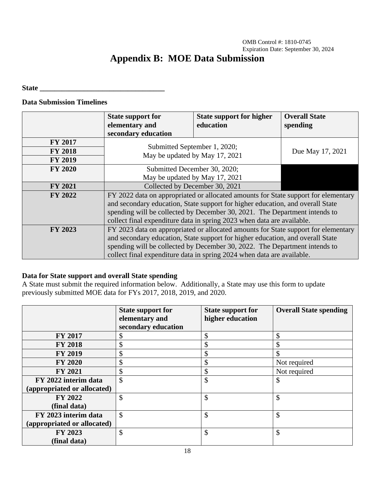OMB Control #: 1810-0745 Expiration Date: September 30, 2024

## **Appendix B: MOE Data Submission**

#### State **and the state**  $\mathbf{S}$

## **Data Submission Timelines**

|                | <b>State support for</b><br>elementary and                                                                                                                                                                                                                                                                                   | <b>State support for higher</b><br>education | <b>Overall State</b><br>spending |
|----------------|------------------------------------------------------------------------------------------------------------------------------------------------------------------------------------------------------------------------------------------------------------------------------------------------------------------------------|----------------------------------------------|----------------------------------|
|                | secondary education                                                                                                                                                                                                                                                                                                          |                                              |                                  |
| <b>FY 2017</b> |                                                                                                                                                                                                                                                                                                                              |                                              |                                  |
| <b>FY 2018</b> | Submitted September 1, 2020;<br>May be updated by May 17, 2021                                                                                                                                                                                                                                                               |                                              | Due May 17, 2021                 |
| <b>FY 2019</b> |                                                                                                                                                                                                                                                                                                                              |                                              |                                  |
| <b>FY 2020</b> | Submitted December 30, 2020;                                                                                                                                                                                                                                                                                                 |                                              |                                  |
|                | May be updated by May 17, 2021                                                                                                                                                                                                                                                                                               |                                              |                                  |
| <b>FY 2021</b> | Collected by December 30, 2021                                                                                                                                                                                                                                                                                               |                                              |                                  |
| FY 2022        | FY 2022 data on appropriated or allocated amounts for State support for elementary<br>and secondary education, State support for higher education, and overall State<br>spending will be collected by December 30, 2021. The Department intends to<br>collect final expenditure data in spring 2023 when data are available. |                                              |                                  |
| FY 2023        | FY 2023 data on appropriated or allocated amounts for State support for elementary<br>and secondary education, State support for higher education, and overall State<br>spending will be collected by December 30, 2022. The Department intends to<br>collect final expenditure data in spring 2024 when data are available. |                                              |                                  |

#### **Data for State support and overall State spending**

A State must submit the required information below. Additionally, a State may use this form to update previously submitted MOE data for FYs 2017, 2018, 2019, and 2020.

|                             | <b>State support for</b><br>elementary and<br>secondary education | <b>State support for</b><br>higher education | <b>Overall State spending</b> |
|-----------------------------|-------------------------------------------------------------------|----------------------------------------------|-------------------------------|
| <b>FY 2017</b>              | \$                                                                | \$                                           | \$                            |
| <b>FY 2018</b>              | \$                                                                | \$                                           | \$                            |
| <b>FY 2019</b>              | \$                                                                | \$                                           | \$                            |
| <b>FY 2020</b>              | \$                                                                | \$                                           | Not required                  |
| <b>FY 2021</b>              | \$                                                                | \$                                           | Not required                  |
| FY 2022 interim data        | \$                                                                | \$                                           | $\mathcal{S}$                 |
| (appropriated or allocated) |                                                                   |                                              |                               |
| <b>FY 2022</b>              | \$                                                                | \$                                           | \$                            |
| (final data)                |                                                                   |                                              |                               |
| FY 2023 interim data        | \$                                                                | \$                                           | \$                            |
| (appropriated or allocated) |                                                                   |                                              |                               |
| FY 2023                     | \$                                                                | \$                                           | \$                            |
| (final data)                |                                                                   |                                              |                               |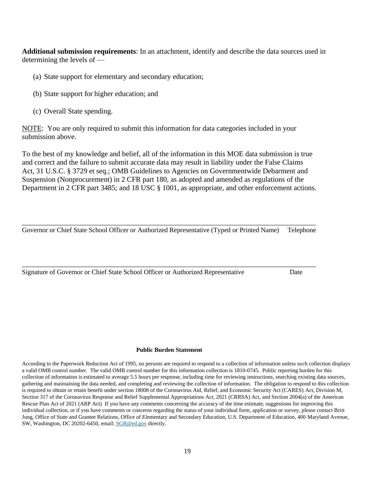**Additional submission requirements**: In an attachment, identify and describe the data sources used in determining the levels of —

- (a) State support for elementary and secondary education;
- (b) State support for higher education; and
- (c) Overall State spending.

NOTE: You are only required to submit this information for data categories included in your submission above.

To the best of my knowledge and belief, all of the information in this MOE data submission is true and correct and the failure to submit accurate data may result in liability under the False Claims Act, 31 U.S.C. § 3729 et seq.; OMB Guidelines to Agencies on Governmentwide Debarment and Suspension (Nonprocurement) in 2 CFR part 180, as adopted and amended as regulations of the Department in 2 CFR part 3485; and 18 USC § 1001, as appropriate, and other enforcement actions.

\_\_\_\_\_\_\_\_\_\_\_\_\_\_\_\_\_\_\_\_\_\_\_\_\_\_\_\_\_\_\_\_\_\_\_\_\_\_\_\_\_\_\_\_\_\_\_\_\_\_\_\_\_\_\_\_\_\_\_\_\_\_\_\_\_\_\_\_\_\_\_\_\_\_\_\_\_\_\_\_ Governor or Chief State School Officer or Authorized Representative (Typed or Printed Name) Telephone

\_\_\_\_\_\_\_\_\_\_\_\_\_\_\_\_\_\_\_\_\_\_\_\_\_\_\_\_\_\_\_\_\_\_\_\_\_\_\_\_\_\_\_\_\_\_\_\_\_\_\_\_\_\_\_\_\_\_\_\_\_\_\_\_\_\_\_\_\_\_\_\_\_\_\_\_\_\_\_\_

Signature of Governor or Chief State School Officer or Authorized Representative Date

#### **Public Burden Statement**

According to the Paperwork Reduction Act of 1995, no persons are required to respond to a collection of information unless such collection displays a valid OMB control number. The valid OMB control number for this information collection is 1810-0745. Public reporting burden for this collection of information is estimated to average 5.5 hours per response, including time for reviewing instructions, searching existing data sources, gathering and maintaining the data needed, and completing and reviewing the collection of information. The obligation to respond to this collection is required to obtain or retain benefit under section 18008 of the Coronavirus Aid, Relief, and Economic Security Act (CARES) Act, Division M, Section 317 of the Coronavirus Response and Relief Supplemental Appropriations Act, 2021 (CRRSA) Act, and Section 2004(a) of the American Rescue Plan Act of 2021 (ARP Act) If you have any comments concerning the accuracy of the time estimate, suggestions for improving this individual collection, or if you have comments or concerns regarding the status of your individual form, application or survey, please contact Britt Jung, Office of State and Grantee Relations, Office of Elementary and Secondary Education, U.S. Department of Education, 400 Maryland Avenue, SW, Washington, DC 20202-6450, email[: SGR@ed.gov](mailto:SGR@ed.gov) directly.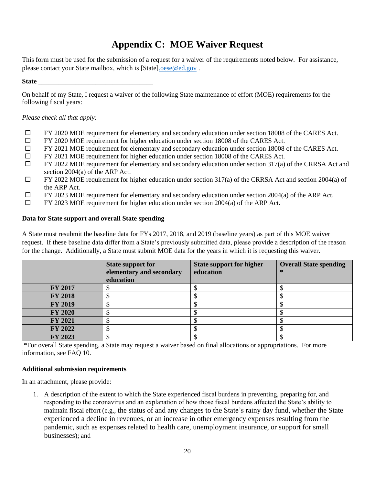## **Appendix C: MOE Waiver Request**

This form must be used for the submission of a request for a waiver of the requirements noted below. For assistance, please contact your State mailbox, which is [State[\].oese@ed.gov](mailto:.oese@ed.gov) .

#### **State** \_\_\_\_\_\_\_\_\_\_\_\_\_\_\_\_\_\_\_\_\_\_\_\_\_\_\_\_\_\_\_\_\_\_

On behalf of my State, I request a waiver of the following State maintenance of effort (MOE) requirements for the following fiscal years:

#### *Please check all that apply:*

- FY 2020 MOE requirement for elementary and secondary education under section 18008 of the CARES Act.
- FY 2020 MOE requirement for higher education under section 18008 of the CARES Act.
- FY 2021 MOE requirement for elementary and secondary education under section 18008 of the CARES Act.
- $\Box$  FY 2021 MOE requirement for higher education under section 18008 of the CARES Act.
- $\Box$  FY 2022 MOE requirement for elementary and secondary education under section 317(a) of the CRRSA Act and section 2004(a) of the ARP Act.
- $\Box$  FY 2022 MOE requirement for higher education under section 317(a) of the CRRSA Act and section 2004(a) of the ARP Act.
- $\Box$  FY 2023 MOE requirement for elementary and secondary education under section 2004(a) of the ARP Act.
- $\Box$  FY 2023 MOE requirement for higher education under section 2004(a) of the ARP Act.

#### **Data for State support and overall State spending**

A State must resubmit the baseline data for FYs 2017, 2018, and 2019 (baseline years) as part of this MOE waiver request. If these baseline data differ from a State's previously submitted data, please provide a description of the reason for the change. Additionally, a State must submit MOE data for the years in which it is requesting this waiver.

|                | <b>State support for</b><br>elementary and secondary<br>education | <b>State support for higher</b><br>education | <b>Overall State spending</b><br>∗ |
|----------------|-------------------------------------------------------------------|----------------------------------------------|------------------------------------|
| <b>FY 2017</b> |                                                                   |                                              |                                    |
| <b>FY 2018</b> |                                                                   |                                              |                                    |
| <b>FY 2019</b> |                                                                   |                                              |                                    |
| <b>FY 2020</b> |                                                                   |                                              |                                    |
| <b>FY 2021</b> |                                                                   |                                              |                                    |
| <b>FY 2022</b> |                                                                   |                                              |                                    |
| FY 2023        |                                                                   |                                              |                                    |

\*For overall State spending, a State may request a waiver based on final allocations or appropriations. For more information, see FAQ 10.

#### **Additional submission requirements**

In an attachment, please provide:

1. A description of the extent to which the State experienced fiscal burdens in preventing, preparing for, and responding to the coronavirus and an explanation of how those fiscal burdens affected the State's ability to maintain fiscal effort (e.g., the status of and any changes to the State's rainy day fund, whether the State experienced a decline in revenues, or an increase in other emergency expenses resulting from the pandemic, such as expenses related to health care, unemployment insurance, or support for small businesses); and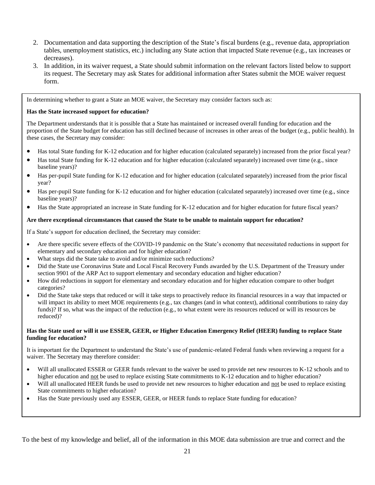- 2. Documentation and data supporting the description of the State's fiscal burdens (e.g., revenue data, appropriation tables, unemployment statistics, etc.) including any State action that impacted State revenue (e.g., tax increases or decreases).
- 3. In addition, in its waiver request, a State should submit information on the relevant factors listed below to support its request. The Secretary may ask States for additional information after States submit the MOE waiver request form.

In determining whether to grant a State an MOE waiver, the Secretary may consider factors such as:

#### **Has the State increased support for education?**

The Department understands that it is possible that a State has maintained or increased overall funding for education and the proportion of the State budget for education has still declined because of increases in other areas of the budget (e.g., public health). In these cases, the Secretary may consider:

- Has total State funding for K-12 education and for higher education (calculated separately) increased from the prior fiscal year?
- $\bullet$  Has total State funding for K-12 education and for higher education (calculated separately) increased over time (e.g., since baseline years)?
- Has per-pupil State funding for K-12 education and for higher education (calculated separately) increased from the prior fiscal year?
- Has per-pupil State funding for K-12 education and for higher education (calculated separately) increased over time (e.g., since baseline years)?
- Has the State appropriated an increase in State funding for K-12 education and for higher education for future fiscal years?

#### **Are there exceptional circumstances that caused the State to be unable to maintain support for education?**

If a State's support for education declined, the Secretary may consider:

- Are there specific severe effects of the COVID-19 pandemic on the State's economy that necessitated reductions in support for elementary and secondary education and for higher education?
- What steps did the State take to avoid and/or minimize such reductions?
- Did the State use Coronavirus State and Local Fiscal Recovery Funds awarded by the U.S. Department of the Treasury under section 9901 of the ARP Act to support elementary and secondary education and higher education?
- How did reductions in support for elementary and secondary education and for higher education compare to other budget categories?
- Did the State take steps that reduced or will it take steps to proactively reduce its financial resources in a way that impacted or will impact its ability to meet MOE requirements (e.g., tax changes (and in what context), additional contributions to rainy day funds)? If so, what was the impact of the reduction (e.g., to what extent were its resources reduced or will its resources be reduced)?

#### **Has the State used or will it use ESSER, GEER, or Higher Education Emergency Relief (HEER) funding to replace State funding for education?**

It is important for the Department to understand the State's use of pandemic-related Federal funds when reviewing a request for a waiver. The Secretary may therefore consider:

- Will all unallocated ESSER or GEER funds relevant to the waiver be used to provide net new resources to K-12 schools and to higher education and not be used to replace existing State commitments to K-12 education and to higher education?
- Will all unallocated HEER funds be used to provide net new resources to higher education and not be used to replace existing State commitments to higher education?
- Has the State previously used any ESSER, GEER, or HEER funds to replace State funding for education?

To the best of my knowledge and belief, all of the information in this MOE data submission are true and correct and the